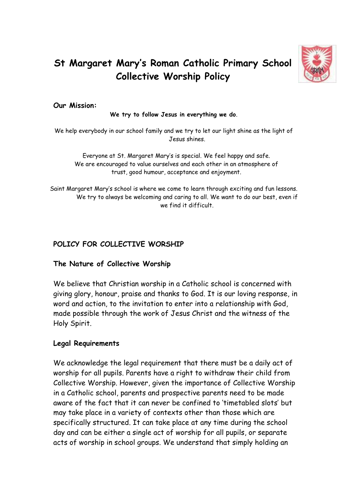

# **St Margaret Mary's Roman Catholic Primary School Collective Worship Policy**

#### **Our Mission:**

**We try to follow Jesus in everything we do**.

We help everybody in our school family and we try to let our light shine as the light of Jesus shines.

Everyone at St. Margaret Mary's is special. We feel happy and safe. We are encouraged to value ourselves and each other in an atmosphere of trust, good humour, acceptance and enjoyment.

Saint Margaret Mary's school is where we come to learn through exciting and fun lessons. We try to always be welcoming and caring to all. We want to do our best, even if we find it difficult.

# **POLICY FOR COLLECTIVE WORSHIP**

#### **The Nature of Collective Worship**

We believe that Christian worship in a Catholic school is concerned with giving glory, honour, praise and thanks to God. It is our loving response, in word and action, to the invitation to enter into a relationship with God, made possible through the work of Jesus Christ and the witness of the Holy Spirit.

#### **Legal Requirements**

We acknowledge the legal requirement that there must be a daily act of worship for all pupils. Parents have a right to withdraw their child from Collective Worship. However, given the importance of Collective Worship in a Catholic school, parents and prospective parents need to be made aware of the fact that it can never be confined to 'timetabled slots' but may take place in a variety of contexts other than those which are specifically structured. It can take place at any time during the school day and can be either a single act of worship for all pupils, or separate acts of worship in school groups. We understand that simply holding an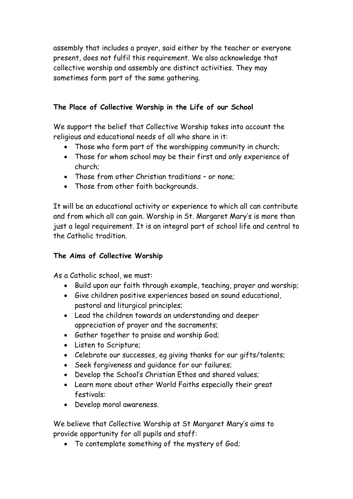assembly that includes a prayer, said either by the teacher or everyone present, does not fulfil this requirement. We also acknowledge that collective worship and assembly are distinct activities. They may sometimes form part of the same gathering.

# **The Place of Collective Worship in the Life of our School**

We support the belief that Collective Worship takes into account the religious and educational needs of all who share in it:

- Those who form part of the worshipping community in church;
- Those for whom school may be their first and only experience of church;
- Those from other Christian traditions or none;
- Those from other faith backgrounds.

It will be an educational activity or experience to which all can contribute and from which all can gain. Worship in St. Margaret Mary's is more than just a legal requirement. It is an integral part of school life and central to the Catholic tradition.

# **The Aims of Collective Worship**

As a Catholic school, we must:

- Build upon our faith through example, teaching, prayer and worship;
- Give children positive experiences based on sound educational, pastoral and liturgical principles;
- Lead the children towards an understanding and deeper appreciation of prayer and the sacraments;
- Gather together to praise and worship God;
- Listen to Scripture;
- Celebrate our successes, eg giving thanks for our gifts/talents;
- Seek forgiveness and guidance for our failures;
- Develop the School's Christian Ethos and shared values;
- Learn more about other World Faiths especially their great festivals:
- Develop moral awareness.

We believe that Collective Worship at St Margaret Mary's aims to provide opportunity for all pupils and staff:

• To contemplate something of the mystery of God;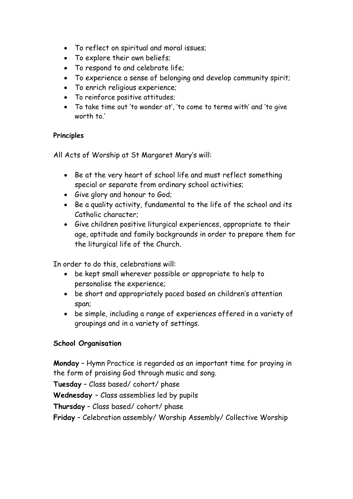- To reflect on spiritual and moral issues;
- To explore their own beliefs;
- To respond to and celebrate life;
- To experience a sense of belonging and develop community spirit;
- To enrich religious experience;
- To reinforce positive attitudes;
- To take time out 'to wonder at', 'to come to terms with' and 'to give worth to.'

## **Principles**

All Acts of Worship at St Margaret Mary's will:

- Be at the very heart of school life and must reflect something special or separate from ordinary school activities;
- Give glory and honour to God;
- Be a quality activity, fundamental to the life of the school and its Catholic character;
- Give children positive liturgical experiences, appropriate to their age, aptitude and family backgrounds in order to prepare them for the liturgical life of the Church.

In order to do this, celebrations will:

- be kept small wherever possible or appropriate to help to personalise the experience;
- be short and appropriately paced based on children's attention span;
- be simple, including a range of experiences offered in a variety of groupings and in a variety of settings.

# **School Organisation**

**Monday** – Hymn Practice is regarded as an important time for praying in the form of praising God through music and song.

**Tuesday** – Class based/ cohort/ phase

**Wednesday** – Class assemblies led by pupils

**Thursday** – Class based/ cohort/ phase

**Friday** – Celebration assembly/ Worship Assembly/ Collective Worship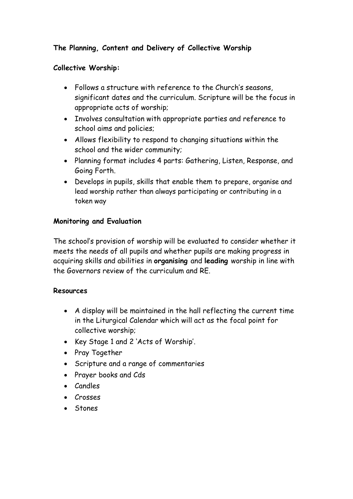# **The Planning, Content and Delivery of Collective Worship**

## **Collective Worship:**

- Follows a structure with reference to the Church's seasons, significant dates and the curriculum. Scripture will be the focus in appropriate acts of worship;
- Involves consultation with appropriate parties and reference to school aims and policies;
- Allows flexibility to respond to changing situations within the school and the wider community;
- Planning format includes 4 parts: Gathering, Listen, Response, and Going Forth.
- Develops in pupils, skills that enable them to prepare, organise and lead worship rather than always participating or contributing in a token way

## **Monitoring and Evaluation**

The school's provision of worship will be evaluated to consider whether it meets the needs of all pupils and whether pupils are making progress in acquiring skills and abilities in **organising** and **leading** worship in line with the Governors review of the curriculum and RE.

#### **Resources**

- A display will be maintained in the hall reflecting the current time in the Liturgical Calendar which will act as the focal point for collective worship;
- Key Stage 1 and 2 'Acts of Worship'.
- Pray Together
- Scripture and a range of commentaries
- Prayer books and Cds
- Candles
- Crosses
- Stones